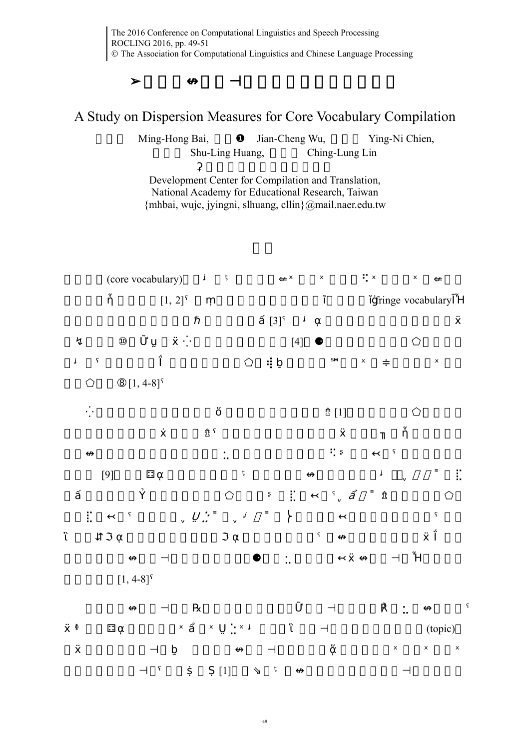## A Study on Dispersion Measures for Core Vocabulary Compilation

Ming-Hong Bai, Jian-Cheng Wu, Ying-Ni Chien, Shu-Ling Huang, Ching-Lung Lin

Development Center for Compilation and Translation, National Academy for Educational Research, Taiwan {mhbai, wujc, jyingni, slhuang, cllin}@mail.naer.edu.tw

(core vocabulary)

[1, 2] fringe vocabulary

 $[3]$ 

 $[4]$ 

 $[1, 4-8]$ 

 $[1]$ 

 $[9]$ 

 $[1, 4-8]$ 

(topic)

49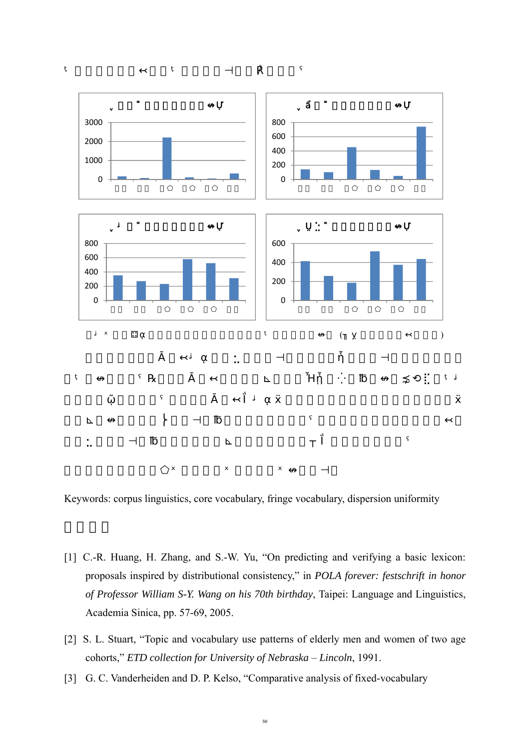

Keywords: corpus linguistics, core vocabulary, fringe vocabulary, dispersion uniformity

- [1] C.-R. Huang, H. Zhang, and S.-W. Yu, "On predicting and verifying a basic lexicon: proposals inspired by distributional consistency," in *POLA forever: festschrift in honor of Professor William S-Y. Wang on his 70th birthday*, Taipei: Language and Linguistics, Academia Sinica, pp. 57-69, 2005.
- [2] S. L. Stuart, "Topic and vocabulary use patterns of elderly men and women of two age cohorts," *ETD collection for University of Nebraska* – *Lincoln*, 1991.
- [3] G. C. Vanderheiden and D. P. Kelso, "Comparative analysis of fixed-vocabulary